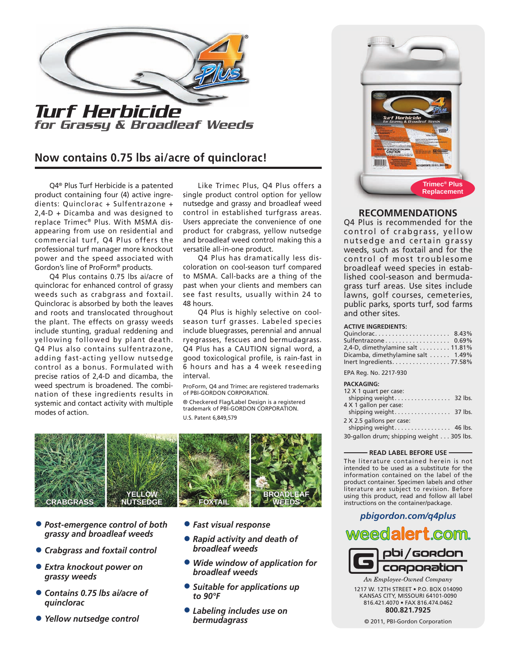

# **Now contains 0.75 lbs ai/acre of quinclorac!**

Q4® Plus Turf Herbicide is a patented product containing four (4) active ingredients: Quinclorac + Sulfentrazone + 2,4-D + Dicamba and was designed to replace Trimec® Plus. With MSMA disappearing from use on residential and commercial turf, Q4 Plus offers the professional turf manager more knockout power and the speed associated with Gordon's line of ProForm® products.

Q4 Plus contains 0.75 lbs ai/acre of quinclorac for enhanced control of grassy weeds such as crabgrass and foxtail. Quinclorac is absorbed by both the leaves and roots and translocated throughout the plant. The effects on grassy weeds include stunting, gradual reddening and yellowing followed by plant death. Q4 Plus also contains sulfentrazone, adding fast-acting yellow nutsedge control as a bonus. Formulated with precise ratios of 2,4-D and dicamba, the weed spectrum is broadened. The combination of these ingredients results in systemic and contact activity with multiple modes of action.

Like Trimec Plus, Q4 Plus offers a single product control option for yellow nutsedge and grassy and broadleaf weed control in established turfgrass areas. Users appreciate the convenience of one product for crabgrass, yellow nutsedge and broadleaf weed control making this a versatile all-in-one product.

Q4 Plus has dramatically less discoloration on cool-season turf compared to MSMA. Call-backs are a thing of the past when your clients and members can see fast results, usually within 24 to 48 hours.

Q4 Plus is highly selective on coolseason turf grasses. Labeled species include bluegrasses, perennial and annual ryegrasses, fescues and bermudagrass. Q4 Plus has a CAUTION signal word, a good toxicological profile, is rain-fast in 6 hours and has a 4 week reseeding interval.

ProForm, Q4 and Trimec are registered trademarks of PBI-GORDON CORPORATION.

® Checkered Flag/Label Design is a registered trademark of PBI-GORDON CORPORATION. U.S. Patent 6,849,579



- *• Post-emergence control of both grassy and broadleaf weeds*
- *• Crabgrass and foxtail control*
- *• Extra knockout power on grassy weeds*
- *• Contains 0.75 lbs ai/acre of quinclorac*
- *• Yellow nutsedge control*
- *• Fast visual response*
- *• Rapid activity and death of broadleaf weeds*
- *• Wide window of application for broadleaf weeds*
- *• Suitable for applications up to 90°F*
- *• Labeling includes use on bermudagrass*



# **RECOMMENDATIONS**

Q4 Plus is recommended for the control of crabgrass, yellow nutsedge and certain grassy weeds, such as foxtail and for the control of most troublesome broadleaf weed species in established cool-season and bermudagrass turf areas. Use sites include lawns, golf courses, cemeteries, public parks, sports turf, sod farms and other sites.

### **ACTIVE INGREDIENTS:**

| Quinclorac 8.43%                                      |  |
|-------------------------------------------------------|--|
| Sulfentrazone 0.69%                                   |  |
| 2,4-D, dimethylamine salt $\dots \dots \dots 11.81\%$ |  |
| Dicamba, dimethylamine salt  1.49%                    |  |
| Inert Ingredients. 77.58%                             |  |

EPA Reg. No. 2217-930

#### **PACKAGING:**

| ,,,,,,,,,,,,,                            |  |
|------------------------------------------|--|
| 12 X 1 quart per case:                   |  |
|                                          |  |
| 4 X 1 gallon per case:                   |  |
|                                          |  |
| 2 X 2.5 gallons per case:                |  |
|                                          |  |
| 30-gallon drum; shipping weight 305 lbs. |  |

### **READ LABEL BEFORE USE**

The literature contained herein is not intended to be used as a substitute for the information contained on the label of the product container. Specimen labels and other literature are subject to revision. Before using this product, read and follow all label instructions on the container/package.



An Employee-Owned Company 1217 W. 12TH STREET • P.O. BOX 014090 KANSAS CITY, MISSOURI 64101-0090 816.421.4070 • FAX 816.474.0462 **800.821.7925**

© 2011, PBI-Gordon Corporation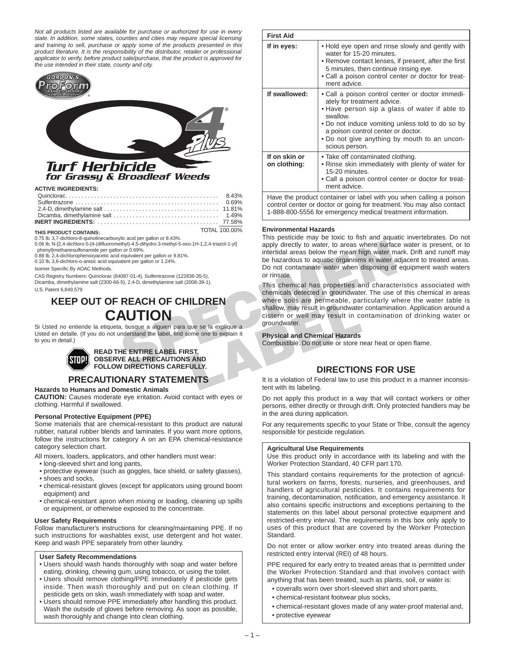*Not all products listed are available for purchase or authorized for use in every state. In addition, some states, counties and cities may require special licensing and training to sell, purchase or apply some of the products presented in this product literature. It is the responsibility of the distributor, retailer or professional applicator to verify, before product sale/purchase, that the product is approved for the use intended in their state, county and city.* 



# for Grassy & Broadleaf Weeds

**ACTIVE INGREDIENTS:**

| TOTAL 100 00%<br>$\blacksquare$ |  |
|---------------------------------|--|

#### **THIS PRODUCT CONTAINS:**

0.75 lb. 3,7-dichloro-8-quinolinecarboxylic acid per gallon or 8.43%.

0.06 lb. N-[2,4-dichloro-5-[4-(difluoromethyl)-4,5-dihydro-3-methyl-5-oxo-1H-1,2,4-triazol-1-yl] phenyl]methanesulfonamide per gallon or 0.69%.

0.88 lb. 2,4-dichlorophenoxyacetic acid equivalent per gallon or 9.81%.

0.10 lb. 3,6-dichloro-o-anisic acid equivalent per gallon or 1.24%.

Isomer Specific By AOAC Methods.

CAS Registry Numbers: Quinclorac (84087-01-4), Sulfentrazone (122836-35-5), Dicamba, dimethylamine salt (2300-66-5), 2,4-D, dimethylamine salt (2008-39-1). U.S. Patent 6,849,579

# **KEEP OUT OF REACH OF CHILDREN CAUTION**

Si Usted no entiende la etiqueta, busque a alguien para que se la explique a Usted en detalle. (If you do not understand the label, find some one to explain it to you in detail.)



**READ THE ENTIRE LABEL FIRST. OBSERVE ALL PRECAUTIONS AND FOLLOW DIRECTIONS CAREFULLY.**

# **PRECAUTIONARY STATEMENTS**

### **Hazards to Humans and Domestic Animals**

**CAUTION:** Causes moderate eye irritation. Avoid contact with eyes or clothing. Harmful if swallowed.

### **Personal Protective Equipment (PPE)**

Some materials that are chemical-resistant to this product are natural rubber, natural rubber blends and laminates. If you want more options, follow the instructions for category A on an EPA chemical-resistance category selection chart.

All mixers, loaders, applicators, and other handlers must wear:

- long-sleeved shirt and long pants,
- protective eyewear (such as goggles, face shield, or safety glasses), • shoes and socks,
- 
- chemical-resistant gloves (except for applicators using ground boom equipment) and
- chemical-resistant apron when mixing or loading, cleaning up spills or equipment, or otherwise exposed to the concentrate.

### **User Safety Requirements**

Follow manufacturer's instructions for cleaning/maintaining PPE. If no such instructions for washables exist, use detergent and hot water. Keep and wash PPE separately from other laundry.

### **User Safety Recommendations**

- Users should wash hands thoroughly with soap and water before eating, drinking, chewing gum, using tobacco, or using the toilet.
- Users should remove clothing/PPE immediately if pesticide gets inside. Then wash thoroughly and put on clean clothing. If pesticide gets on skin, wash immediately with soap and water.
- Users should remove PPE immediately after handling this product. Wash the outside of gloves before removing. As soon as possible, wash thoroughly and change into clean clothing.

| <b>First Aid</b>                                                                                                                                                                                           |                                                                                                                                                                                                                                                                                                          |  |  |
|------------------------------------------------------------------------------------------------------------------------------------------------------------------------------------------------------------|----------------------------------------------------------------------------------------------------------------------------------------------------------------------------------------------------------------------------------------------------------------------------------------------------------|--|--|
| If in eyes:                                                                                                                                                                                                | • Hold eye open and rinse slowly and gently with<br>water for 15-20 minutes.<br>• Remove contact lenses, if present, after the first<br>5 minutes, then continue rinsing eye.<br>• Call a poison control center or doctor for treat-<br>ment advice.                                                     |  |  |
| If swallowed:                                                                                                                                                                                              | • Call a poison control center or doctor immedi-<br>ately for treatment advice.<br>• Have person sip a glass of water if able to<br>swallow.<br>. Do not induce vomiting unless told to do so by<br>a poison control center or doctor.<br>. Do not give anything by mouth to an uncon-<br>scious person. |  |  |
| If on skin or<br>on clothing:                                                                                                                                                                              | • Take off contaminated clothing.<br>• Rinse skin immediately with plenty of water for<br>15-20 minutes.<br>• Call a poison control center or doctor for treat-<br>ment advice.                                                                                                                          |  |  |
| Have the product container or label with you when calling a poison<br>control center or doctor or going for treatment. You may also contact<br>1-888-800-5556 for emergency medical treatment information. |                                                                                                                                                                                                                                                                                                          |  |  |

### **Environmental Hazards**

This pesticide may be toxic to fish and aquatic invertebrates. Do not apply directly to water, to areas where surface water is present, or to intertidal areas below the mean high water mark. Drift and runoff may be hazardous to aquatic organisms in water adjacent to treated areas. Do not contaminate water when disposing of equipment wash waters or rinsate.

From the State of the State of the CHILDREN<br>
The State of the CASE of the CONSISTED CONSISTED And the state of the CONSISTED CONSISTED And the state of the content<br>
The state of the constant of the CHILDREN<br>
SPEACH OF CHIL This chemical has properties and characteristics associated with chemicals detected in groundwater. The use of this chemical in areas where soils are permeable, particularly where the water table is shallow, may result in groundwater contamination. Application around a cistern or well may result in contamination of drinking water or groundwater.

### **Physical and Chemical Hazards**

Combustible. Do not use or store near heat or open flame.

# **DIRECTIONS FOR USE**

It is a violation of Federal law to use this product in a manner inconsistent with its labeling.

Do not apply this product in a way that will contact workers or other persons, either directly or through drift. Only protected handlers may be in the area during application.

For any requirements specific to your State or Tribe, consult the agency responsible for pesticide regulation.

### **Agricultural Use Requirements**

Use this product only in accordance with its labeling and with the Worker Protection Standard, 40 CFR part 170.

This standard contains requirements for the protection of agricultural workers on farms, forests, nurseries, and greenhouses, and handlers of agricultural pesticides. It contains requirements for training, decontamination, notification, and emergency assistance. It also contains specific instructions and exceptions pertaining to the statements on this label about personal protective equipment and restricted-entry interval. The requirements in this box only apply to uses of this product that are covered by the Worker Protection Standard.

Do not enter or allow worker entry into treated areas during the restricted entry interval (REI) of 48 hours.

PPE required for early entry to treated areas that is permitted under the Worker Protection Standard and that involves contact with anything that has been treated, such as plants, soil, or water is:

- coveralls worn over short-sleeved shirt and short pants,
- chemical-resistant footwear plus socks,
- chemical-resistant gloves made of any water-proof material and,
- 

• protective eyewear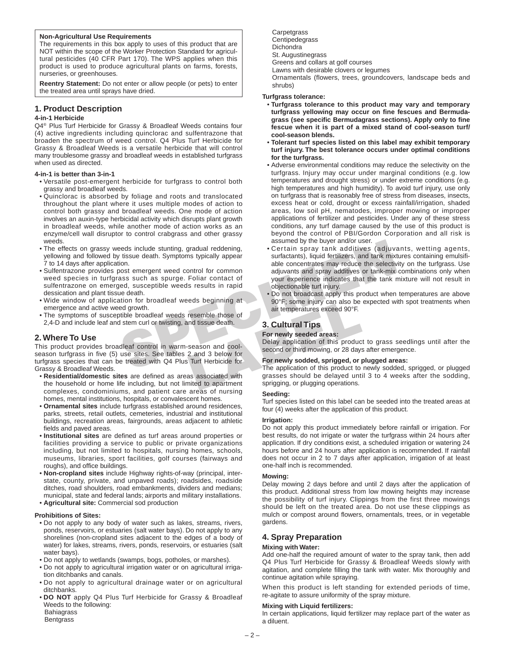### **Non-Agricultural Use Requirements**

The requirements in this box apply to uses of this product that are NOT within the scope of the Worker Protection Standard for agricultural pesticides (40 CFR Part 170). The WPS applies when this product is used to produce agricultural plants on farms, forests, nurseries, or greenhouses.

**Reentry Statement:** Do not enter or allow people (or pets) to enter the treated area until sprays have dried.

# **1. Product Description**

### **4-in-1 Herbicide**

Q4® Plus Turf Herbicide for Grassy & Broadleaf Weeds contains four (4) active ingredients including quinclorac and sulfentrazone that broaden the spectrum of weed control. Q4 Plus Turf Herbicide for Grassy & Broadleaf Weeds is a versatile herbicide that will control many troublesome grassy and broadleaf weeds in established turfgrass when used as directed.

### **4-in-1 is better than 3-in-1**

- Versatile post-emergent herbicide for turfgrass to control both grassy and broadleaf weeds.
- Quinclorac is absorbed by foliage and roots and translocated throughout the plant where it uses multiple modes of action to control both grassy and broadleaf weeds. One mode of action involves an auxin-type herbicidal activity which disrupts plant growth in broadleaf weeds, while another mode of action works as an enzyme/cell wall disruptor to control crabgrass and other grassy weeds.
- The effects on grassy weeds include stunting, gradual reddening, yellowing and followed by tissue death. Symptoms typically appear 7 to 14 days after application.
- Sulfentrazone provides post emergent weed control for common weed species in turfgrass such as spurge. Foliar contact of sulfentrazone on emerged, susceptible weeds results in rapid dessication and plant tissue death.
- Wide window of application for broadleaf weeds beginning at emergence and active weed growth.
- The symptoms of susceptible broadleaf weeds resemble those of 2,4-D and include leaf and stem curl or twisting, and tissue death.

# **2. Where To Use**

This product provides broadleaf control in warm-season and coolseason turfgrass in five (5) use sites. See tables 2 and 3 below for turfgrass species that can be treated with Q4 Plus Turf Herbicide for Grassy & Broadleaf Weeds.

- **Residential/domestic sites** are defined as areas associated with the household or home life including, but not limited to apartment complexes, condominiums, and patient care areas of nursing homes, mental institutions, hospitals, or convalescent homes.
- **Ornamental sites** include turfgrass established around residences, parks, streets, retail outlets, cemeteries, industrial and institutional buildings, recreation areas, fairgrounds, areas adjacent to athletic fields and paved areas.
- **Institutional sites** are defined as turf areas around properties or facilities providing a service to public or private organizations including, but not limited to hospitals, nursing homes, schools, museums, libraries, sport facilities, golf courses (fairways and roughs), and office buildings.
- **Non-cropland sites** include Highway rights-of-way (principal, interstate, county, private, and unpaved roads); roadsides, roadside ditches, road shoulders, road embankments, dividers and medians; municipal, state and federal lands; airports and military installations. • **Agricultural site:** Commercial sod production

#### **Prohibitions of Sites:**

- Do not apply to any body of water such as lakes, streams, rivers, ponds, reservoirs, or estuaries (salt water bays). Do not apply to any shorelines (non-cropland sites adjacent to the edges of a body of water) for lakes, streams, rivers, ponds, reservoirs, or estuaries (salt water bays).
- Do not apply to wetlands (swamps, bogs, potholes, or marshes).
- Do not apply to agricultural irrigation water or on agricultural irrigation ditchbanks and canals.
- Do not apply to agricultural drainage water or on agricultural ditchbanks.
- **DO NOT** apply Q4 Plus Turf Herbicide for Grassy & Broadleaf Weeds to the following: Bahiagrass
- Bentgrass
- 

Carpetgrass Centipedegrass **Dichondra** St. Augustinegrass Greens and collars at golf courses Lawns with desirable clovers or legumes Ornamentals (flowers, trees, groundcovers, landscape beds and shrubs)

#### **Turfgrass tolerance:**

- **Turfgrass tolerance to this product may vary and temporary turfgrass yellowing may occur on fine fescues and Bermuda grass (see specific Bermudagrass sections). Apply only to fine fescue when it is part of a mixed stand of cool-season turf/ cool-season blends.**
- **Tolerant turf species listed on this label may exhibit temporary turf injury. The best tolerance occurs under optimal conditions for the turfgrass.**
- Adverse environmental conditions may reduce the selectivity on the turfgrass. Injury may occur under marginal conditions (e.g. low temperatures and drought stress) or under extreme conditions (e.g. high temperatures and high humidity). To avoid turf injury, use only on turfgrass that is reasonably free of stress from diseases, insects, excess heat or cold, drought or excess rainfall/irrigation, shaded areas, low soil pH, nematodes, improper mowing or improper applications of fertilizer and pesticides. Under any of these stress conditions, any turf damage caused by the use of this product is beyond the control of PBI/Gordon Corporation and all risk is assumed by the buyer and/or user.
- Source the state of the buyer and by the buyer and a secure of the buyer and the minion of the state of the state of the state of the state of the state of the state of the state of the state of the state of the state of t • Certain spray tank additives (adjuvants, wetting agents, surfactants), liquid fertilizers, and tank mixtures containing emulsifiable concentrates may reduce the selectivity on the turfgrass. Use adjuvants and spray additives or tank-mix combinations only when your experience indicates that the tank mixture will not result in objectionable turf injury.
	- Do not broadcast apply this product when temperatures are above 90°F; some injury can also be expected with spot treatments when air temperatures exceed 90°F.

# **3. Cultural Tips**

## **For newly seeded areas:**

Delay application of this product to grass seedlings until after the second or third mowing, or 28 days after emergence.

#### **For newly sodded, sprigged, or plugged areas:**

The application of this product to newly sodded, sprigged, or plugged grasses should be delayed until 3 to 4 weeks after the sodding, sprigging, or plugging operations.

#### **Seeding:**

Turf species listed on this label can be seeded into the treated areas at four (4) weeks after the application of this product.

#### **Irrigation:**

Do not apply this product immediately before rainfall or irrigation. For best results, do not irrigate or water the turfgrass within 24 hours after application. If dry conditions exist, a scheduled irrigation or watering 24 hours before and 24 hours after application is recommended. If rainfall does not occur in 2 to 7 days after application, irrigation of at least one-half inch is recommended.

#### **Mowing:**

Delay mowing 2 days before and until 2 days after the application of this product. Additional stress from low mowing heights may increase the possibility of turf injury. Clippings from the first three mowings should be left on the treated area. Do not use these clippings as mulch or compost around flowers, ornamentals, trees, or in vegetable gardens.

# **4. Spray Preparation**

### **Mixing with Water:**

Add one-half the required amount of water to the spray tank, then add Q4 Plus Turf Herbicide for Grassy & Broadleaf Weeds slowly with agitation, and complete filling the tank with water. Mix thoroughly and continue agitation while spraying.

When this product is left standing for extended periods of time, re-agitate to assure uniformity of the spray mixture.

### **Mixing with Liquid fertilizers:**

In certain applications, liquid fertilizer may replace part of the water as a diluent.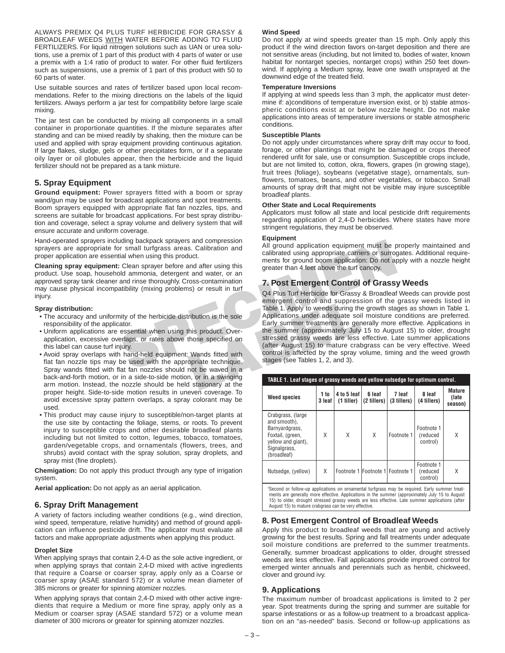ALWAYS PREMIX Q4 PLUS TURF HERBICIDE FOR GRASSY & BROADLEAF WEEDS WITH WATER BEFORE ADDING TO FLUID FERTILIZERS. For liquid nitrogen solutions such as UAN or urea solutions, use a premix of 1 part of this product with 4 parts of water or use a premix with a 1:4 ratio of product to water. For other fluid fertilizers such as suspensions, use a premix of 1 part of this product with 50 to 60 parts of water.

Use suitable sources and rates of fertilizer based upon local recommendations. Refer to the mixing directions on the labels of the liquid fertilizers. Always perform a jar test for compatibility before large scale mixing.

The jar test can be conducted by mixing all components in a small container in proportionate quantities. If the mixture separates after standing and can be mixed readily by shaking, then the mixture can be used and applied with spray equipment providing continuous agitation. If large flakes, sludge, gels or other precipitates form, or if a separate oily layer or oil globules appear, then the herbicide and the liquid fertilizer should not be prepared as a tank mixture.

# **5. Spray Equipment**

**Ground equipment:** Power sprayers fitted with a boom or spray wand/gun may be used for broadcast applications and spot treatments. Boom sprayers equipped with appropriate flat fan nozzles, tips, and screens are suitable for broadcast applications. For best spray distribution and coverage, select a spray volume and delivery system that will ensure accurate and uniform coverage.

Hand-operated sprayers including backpack sprayers and compression sprayers are appropriate for small turfgrass areas. Calibration and proper application are essential when using this product.

**Cleaning spray equipment:** Clean sprayer before and after using this product. Use soap, household ammonia, detergent and water, or an approved spray tank cleaner and rinse thoroughly. Cross-contamination may cause physical incompatibility (mixing problems) or result in turf injury.

### **Spray distribution:**

- The accuracy and uniformity of the herbicide distribution is the sole responsibility of the applicator.
- Uniform applications are essential when using this product. Overapplication, excessive overlaps, or rates above those specified on this label can cause turf injury.
- Avoid spray overlaps with hand-held equipment: Wands fitted with flat fan nozzle tips may be used with the appropriate technique. Spray wands fitted with flat fan nozzles should not be waved in a back-and-forth motion, or in a side-to-side motion, or in a swinging arm motion. Instead, the nozzle should be held stationary at the proper height. Side-to-side motion results in uneven coverage. To avoid excessive spray pattern overlaps, a spray colorant may be used.
- This product may cause injury to susceptible/non-target plants at the use site by contacting the foliage, stems, or roots. To prevent injury to susceptible crops and other desirable broadleaf plants including but not limited to cotton, legumes, tobacco, tomatoes, garden/vegetable crops, and ornamentals (flowers, trees, and shrubs) avoid contact with the spray solution, spray droplets, and spray mist (fine droplets).

**Chemigation:** Do not apply this product through any type of irrigation system.

**Aerial application:** Do not apply as an aerial application.

# **6. Spray Drift Management**

A variety of factors including weather conditions (e.g., wind direction, wind speed, temperature, relative humidity) and method of ground application can influence pesticide drift. The applicator must evaluate all factors and make appropriate adjustments when applying this product.

### **Droplet Size**

When applying sprays that contain 2,4-D as the sole active ingredient, or when applying sprays that contain 2,4-D mixed with active ingredients that require a Coarse or coarser spray, apply only as a Coarse or coarser spray (ASAE standard 572) or a volume mean diameter of 385 microns or greater for spinning atomizer nozzles.

When applying sprays that contain 2,4-D mixed with other active ingredients that require a Medium or more fine spray, apply only as a Medium or coarser spray (ASAE standard 572) or a volume mean diameter of 300 microns or greater for spinning atomizer nozzles.

### **Wind Speed**

Do not apply at wind speeds greater than 15 mph. Only apply this product if the wind direction favors on-target deposition and there are not sensitive areas (including, but not limited to, bodies of water, known habitat for nontarget species, nontarget crops) within 250 feet downwind. If applying a Medium spray, leave one swath unsprayed at the downwind edge of the treated field.

### **Temperature Inversions**

If applying at wind speeds less than 3 mph, the applicator must determine if: a)conditions of temperature inversion exist, or b) stable atmospheric conditions exist at or below nozzle height. Do not make applications into areas of temperature inversions or stable atmospheric conditions.

## **Susceptible Plants**

Do not apply under circumstances where spray drift may occur to food, forage, or other plantings that might be damaged or crops thereof rendered unfit for sale, use or consumption. Susceptible crops include, but are not limited to, cotton, okra, flowers, grapes (in growing stage), fruit trees (foliage), soybeans (vegetative stage), ornamentals, sunflowers, tomatoes, beans, and other vegetables, or tobacco. Small amounts of spray drift that might not be visible may injure susceptible broadleaf plants.

## **Other State and Local Requirements**

Applicators must follow all state and local pesticide drift requirements regarding application of 2,4-D herbicides. Where states have more stringent regulations, they must be observed.

# **Equipment**

All ground application equipment must be properly maintained and calibrated using appropriate carriers or surrogates. Additional requirements for ground boom application: Do not apply with a nozzle height greater than 4 feet above the turf canopy.

# **7. Post Emergent Control of Grassy Weeds**

diany acceptack sprayers and compression<br>
In ground application equipment must be performant turing this product.<br>
In ground booth actibrated using appropriate carriers or surroque that when using this product.<br>
Clean spra Q4 Plus Turf Herbicide for Grassy & Broadleaf Weeds can provide post emergent control and suppression of the grassy weeds listed in Table 1. Apply to weeds during the growth stages as shown in Table 1. Applications under adequate soil moisture conditions are preferred. Early summer treatments are generally more effective. Applications in the summer (approximately July 15 to August 15) to older, drought stressed grassy weeds are less effective. Late summer applications (after August 15) to mature crabgrass can be very effective. Weed control is affected by the spray volume, timing and the weed growth stages (see Tables 1, 2, and 3).

| TABLE 1. Leaf stages of grassy weeds and yellow nutsedge for optimum control.                                                |                |                           |                       |                                  |                                    |                                   |
|------------------------------------------------------------------------------------------------------------------------------|----------------|---------------------------|-----------------------|----------------------------------|------------------------------------|-----------------------------------|
| <b>Weed species</b>                                                                                                          | 1 to<br>3 leaf | 4 to 5 leaf<br>(1 tiller) | 6 leaf<br>(2 tillers) | 7 leaf<br>(3 tillers)            | 8 leaf<br>(4 tillers)              | <b>Mature</b><br>(late<br>season) |
| Crabgrass, (large<br>and smooth),<br>Barnyardgrass,<br>Foxtail, (green,<br>vellow and giant),<br>Signalgrass,<br>(broadleaf) | X              | X                         | X                     | Footnote 1                       | Footnote 1<br>(reduced<br>control) | X                                 |
| Nutsedge, (yellow)                                                                                                           | X              |                           |                       | Footnote 1 Footnote 1 Footnote 1 | Footnote 1<br>(reduced<br>control) | Χ                                 |
| Second or follow-up applications on ornamental turforass may be required. Early summer treat-                                |                |                           |                       |                                  |                                    |                                   |

ments are generally more effective. Applications in the summer (approximately July 15 to August 15) to older, drought stressed grassy weeds are less effective. Late summer applications (after August 15) to mature crabgrass can be very effective.

# **8. Post Emergent Control of Broadleaf Weeds**

Apply this product to broadleaf weeds that are young and actively growing for the best results. Spring and fall treatments under adequate soil moisture conditions are preferred to the summer treatments. Generally, summer broadcast applications to older, drought stressed weeds are less effective. Fall applications provide improved control for emerged winter annuals and perennials such as henbit, chickweed, clover and ground ivy.

# **9. Applications**

The maximum number of broadcast applications is limited to 2 per year. Spot treatments during the spring and summer are suitable for sparse infestations or as a follow-up treatment to a broadcast application on an "as-needed" basis. Second or follow-up applications as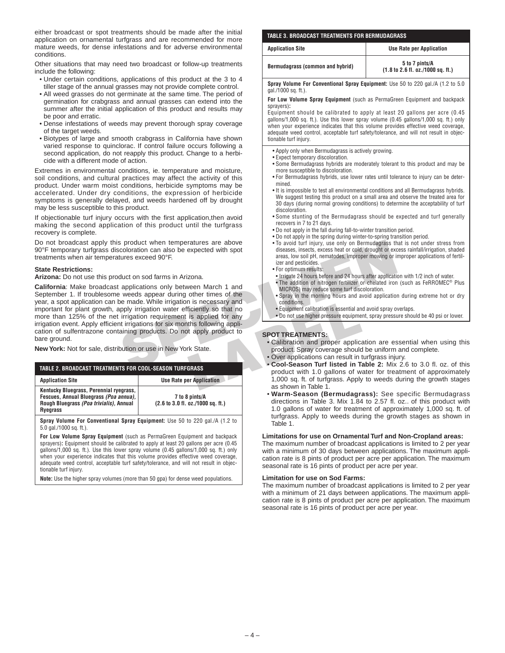either broadcast or spot treatments should be made after the initial application on ornamental turfgrass and are recommended for more mature weeds, for dense infestations and for adverse environmental conditions.

Other situations that may need two broadcast or follow-up treatments include the following:

- Under certain conditions, applications of this product at the 3 to 4 tiller stage of the annual grasses may not provide complete control.
- All weed grasses do not germinate at the same time. The period of germination for crabgrass and annual grasses can extend into the summer after the initial application of this product and results may be poor and erratic.
- Dense infestations of weeds may prevent thorough spray coverage of the target weeds.
- Biotypes of large and smooth crabgrass in California have shown varied response to quinclorac. If control failure occurs following a second application, do not reapply this product. Change to a herbicide with a different mode of action.

Extremes in environmental conditions, ie. temperature and moisture, soil conditions, and cultural practices may affect the activity of this product. Under warm moist conditions, herbicide symptoms may be accelerated. Under dry conditions, the expression of herbicide symptoms is generally delayed, and weeds hardened off by drought may be less susceptible to this product.

If objectionable turf injury occurs with the first application,then avoid making the second application of this product until the turfgrass recovery is complete.

Do not broadcast apply this product when temperatures are above 90°F temporary turfgrass discoloration can also be expected with spot treatments when air temperatures exceed 90°F.

### **State Restrictions:**

**Arizona:** Do not use this product on sod farms in Arizona.

**SPECIED TRANSPERIENT SPECIES AND SEXUALLY THE SPECIES AND SOLUTION OF THE SPECIES AND SOLUTION OF A COLLEGATION OF A COLLEGATION OF A COLLEGATION OF A COLLEGATION OF A COLLEGATION OF A COLLEGATION OF A COLLEGATION OF A CO California**: Make broadcast applications only between March 1 and September 1. If troublesome weeds appear during other times of the year, a spot application can be made. While irrigation is necessary and important for plant growth, apply irrigation water efficiently so that no more than 125% of the net irrigation requirement is applied for any irrigation event. Apply efficient irrigations for six months following application of sulfentrazone containing products. Do not apply product to bare ground.

**New York:** Not for sale, distribution or use in New York State.

#### **TABLE 2. BROADCAST TREATMENTS FOR COOL-SEASON TURFGRASS**

| <b>Application Site</b>                                                                                                                         | <b>Use Rate per Application</b>                                                |  |  |
|-------------------------------------------------------------------------------------------------------------------------------------------------|--------------------------------------------------------------------------------|--|--|
| Kentucky Bluegrass, Perennial ryegrass,<br>Fescues, Annual Bluegrass (Poa annua),<br>Rough Bluegrass (Poa trivialis), Annual<br><b>Ryegrass</b> | 7 to 8 pints/A<br>$(2.6 \text{ to } 3.0 \text{ fl. oz.}/1000 \text{ sq. ft.})$ |  |  |
|                                                                                                                                                 |                                                                                |  |  |

**Spray Volume For Conventional Spray Equipment:** Use 50 to 220 gal./A (1.2 to 5.0 gal./1000 sq. ft.).

**For Low Volume Spray Equipment** (such as PermaGreen Equipment and backpack sprayers)**:** Equipment should be calibrated to apply at least 20 gallons per acre (0.45 gallons/1,000 sq. ft.). Use this lower spray volume (0.45 gallons/1,000 sq. ft.) only when your experience indicates that this volume provides effective weed coverage, adequate weed control, acceptable turf safety/tolerance, and will not result in objectionable turf injury.

**Note:** Use the higher spray volumes (more than 50 gpa) for dense weed populations.

### **TABLE 3. BROADCAST TREATMENTS FOR BERMUDAGRASS**

| <b>Application Site</b>          | <b>Use Rate per Application</b>                                                |
|----------------------------------|--------------------------------------------------------------------------------|
| Bermudagrass (common and hybrid) | 5 to 7 pints/A<br>$(1.8 \text{ to } 2.6 \text{ fl. oz.}/1000 \text{ sq. ft.})$ |

**Spray Volume For Conventional Spray Equipment:** Use 50 to 220 gal./A (1.2 to 5.0 gal./1000 sq. ft.).

**For Low Volume Spray Equipment** (such as PermaGreen Equipment and backpack sprayers)**:**

Equipment should be calibrated to apply at least 20 gallons per acre (0.45 gallons/1,000 sq. ft.). Use this lower spray volume (0.45 gallons/1,000 sq. ft.) only when your experience indicates that this volume provides effective weed coverage, adequate weed control, acceptable turf safety/tolerance, and will not result in objectionable turf injury.

- Apply only when Bermudagrass is actively growing.
- Expect temporary discoloration.
- Some Bermudagrass hybrids are moderately tolerant to this product and may be more susceptible to discoloration.
- For Bermudagrass hybrids, use lower rates until tolerance to injury can be determined.
- It is impossible to test all environmental conditions and all Bermudagrass hybrids. We suggest testing this product on a small area and observe the treated area for 30 days (during normal growing conditions) to determine the acceptability of turf discoloration.
- Some stunting of the Bermudagrass should be expected and turf generally recovers in 7 to 21 days.
- Do not apply in the fall during fall-to-winter transition period.
- Do not apply in the spring during winter-to-spring transition period.
- To avoid turf injury, use only on Bermudagrass that is not under stress from diseases, insects, excess heat or cold, drought or excess rainfall/irrigation, shaded areas, low soil pH, nematodes, improper mowing or improper applications of fertilizer and pesticides.
- For optimum results:
- Irrigate 24 hours before and 24 hours after application with 1/2 inch of water.
- The addition of nitrogen fertilizer or chelated iron (such as FeRROMEC® Plus MICROS) may reduce some turf discoloration.
- Spray in the morning hours and avoid application during extreme hot or dry conditions.
- Equipment calibration is essential and avoid spray overlaps.
- Do not use higher pressure equipment, spray pressure should be 40 psi or lower.

# **SPOT TREATMENTS:**

- Calibration and proper application are essential when using this product. Spray coverage should be uniform and complete.
- Over applications can result in turfgrass injury.
- **Cool-Season Turf listed in Table 2:** Mix 2.6 to 3.0 fl. oz. of this product with 1.0 gallons of water for treatment of approximately 1,000 sq. ft. of turfgrass. Apply to weeds during the growth stages as shown in Table 1.
- **Warm-Season (Bermudagrass):** See specific Bermudagrass directions in Table 3. Mix 1.84 to 2.57 fl. oz.. of this product with 1.0 gallons of water for treatment of approximately 1,000 sq. ft. of turfgrass. Apply to weeds during the growth stages as shown in Table 1.

## **Limitations for use on Ornamental Turf and Non-Cropland areas:**

The maximum number of broadcast applications is limited to 2 per year with a minimum of 30 days between applications. The maximum application rate is 8 pints of product per acre per application. The maximum seasonal rate is 16 pints of product per acre per year.

#### **Limitation for use on Sod Farms:**

The maximum number of broadcast applications is limited to 2 per year with a minimum of 21 days between applications. The maximum application rate is 8 pints of product per acre per application. The maximum seasonal rate is 16 pints of product per acre per year.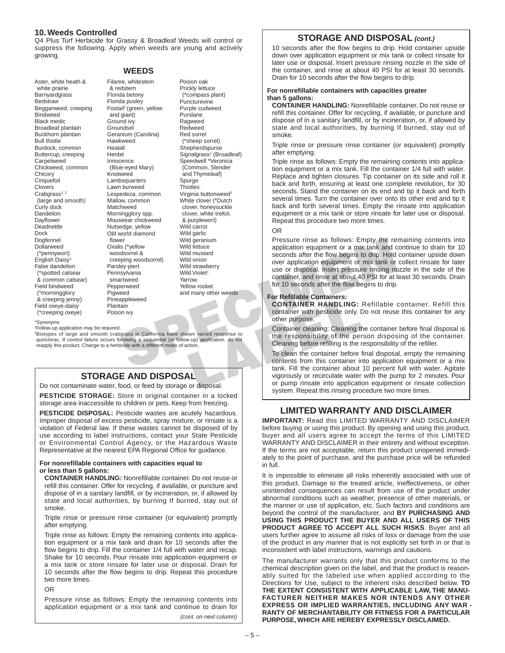# **10. Weeds Controlled**

Q4 Plus Turf Herbicide for Grassy & Broadleaf Weeds will control or suppress the following. Apply when weeds are young and actively growing.

**WEEDS**

Aster, white heath & white prairie Barnyardgrass **Bedstraw** Beggarweed, creeping Bindweed Black medic Broadleaf plantain Buckhorn plantain Bull thistle Burdock, common Buttercup, creeping Carpetweed Chickweed, common **Chicory Cinquefoil** Clovers  $Crabgrass<sup>1, 2</sup>$ (large and smooth) Curly dock **Dandelion** Dayflower Deadnettle Dock Dogfennel **Dollarweed** (\*pennywort) English Daisy<sup>1</sup> False dandelion (\*spotted catsear & common catsear) Field bindweed (\*morningglory & creeping jenny) Field oxeye-daisy (\*creeping oxeye)

Filaree, whitestem & redstem Florida betony Florida pusley Foxtail<sup>1</sup> (green, yellow and giant) Ground ivy Groundsel Geranium (Carolina) **Hawkweed** Healall **Henbit** Innocence (Blue-eyed Mary) Knotweed Lambsquarters Lawn burweed Lespedeza, common Mallow, common Matchweed Morningglory spp. Mouseear chickweed Nutsedge, yellow Old world diamond flower Oxalis (\*yellow woodsorrel & creeping woodsorrel) Parsley-piert **Pennsylvania** smartweed Pepperweed Pigweed Pineappleweed Plantain Poison ivy

Poison oak Prickly lettuce (\*compass plant) Puncturevine Purple cudweed Purslane Ragweed Redweed Red sorrel (\*sheep sorrel) Shepherdspurse Signalgrass<sup>1</sup> (Broadleaf) Speedwell \*Veronica (Common, Slender and Thymeleaf) Spurge **Thistles** Virginia buttonweed<sup>1</sup> White clover (\*Dutch clover, honeysuckle clover, white trefoil, & purplewort) Wild carrot Wild garlic Wild geranium Wild lettuce Wild mustard Wild onion Wild strawberry Wild Violet<sup>1</sup> Yarrow Yellow rocket and many other weeds

\*Synonyms

1Follow-up application may be required.

2Biotypes of large and smooth crabgrass in California have shown varied response to quinclorac. If control failure occurs following a sequential (or follow-up) application, do not reapply this product. Change to a herbicide with a different mode of action.

# **STORAGE AND DISPOSAL**

Do not contaminate water, food, or feed by storage or disposal.

**PESTICIDE STORAGE:** Store in original container in a locked storage area inaccessible to children or pets. Keep from freezing.

**PESTICIDE DISPOSAL:** Pesticide wastes are acutely hazardous. Improper disposal of excess pesticide, spray mixture, or rinsate is a violation of Federal law. If these wastes cannot be disposed of by use according to label instructions, contact your State Pesticide or Environmental Control Agency, or the Hazardous Waste Representative at the nearest EPA Regional Office for guidance.

### **For nonrefillable containers with capacities equal to or less than 5 gallons:**

**CONTAINER HANDLING:** Nonrefillable container. Do not reuse or refill this container. Offer for recycling, if available, or puncture and dispose of in a sanitary landfill, or by incineration, or, if allowed by state and local authorities, by burning If burned, stay out of smoke.

Triple rinse or pressure rinse container (or equivalent) promptly after emptying.

Triple rinse as follows: Empty the remaining contents into application equipment or a mix tank and drain for 10 seconds after the flow begins to drip. Fill the container 1/4 full with water and recap. Shake for 10 seconds. Pour rinsate into application equipment or a mix tank or store rinsate for later use or disposal. Drain for 10 seconds after the flow begins to drip. Repeat this procedure two more times.

## OR

Pressure rinse as follows: Empty the remaining contents into application equipment or a mix tank and continue to drain for

*(cont. on next column)*

# **STORAGE AND DISPOSAL** *(cont.)*

10 seconds after the flow begins to drip. Hold container upside down over application equipment or mix tank or collect rinsate for later use or disposal. Insert pressure rinsing nozzle in the side of the container, and rinse at about 40 PSI for at least 30 seconds. Drain for 10 seconds after the flow begins to drip.

### **For nonrefillable containers with capacities greater than 5 gallons:**

**CONTAINER HANDLING:** Nonrefillable container. Do not reuse or refill this container. Offer for recycling, if available, or puncture and dispose of in a sanitary landfill, or by incineration, or, if allowed by state and local authorities, by burning If burned, stay out of smoke.

Triple rinse or pressure rinse container (or equivalent) promptly after emptying.

Triple rinse as follows: Empty the remaining contents into application equipment or a mix tank. Fill the container 1/4 full with water. Replace and tighten closures. Tip container on its side and roll it back and forth, ensuring at least one complete revolution, for 30 seconds. Stand the container on its end and tip it back and forth several times. Turn the container over onto its other end and tip it back and forth several times. Empty the rinsate into application equipment or a mix tank or store rinsate for later use or disposal. Repeat this procedure two more times.

### OR

Fressure insee as follows: EMP of the container about 10 percent intensity of the percent of the percent of the percent of the percent of the percent of the percent of the percent of the percent of the percent of the perce Pressure rinse as follows: Empty the remaining contents into application equipment or a mix tank and continue to drain for 10 seconds after the flow begins to drip. Hold container upside down over application equipment or mix tank or collect rinsate for later use or disposal. Insert pressure rinsing nozzle in the side of the container, and rinse at about 40 PSI for at least 30 seconds. Drain for 10 seconds after the flow begins to drip.

### **For Refillable Containers:**

**CONTAINER HANDLING:** Refillable container. Refill this container with pesticide only. Do not reuse this container for any other purpose.

Container cleaning: Cleaning the container before final disposal is the responsibility of the person disposing of the container. Cleaning before refilling is the responsibility of the refiller.

To clean the container before final disposal, empty the remaining contents from this container into application equipment or a mix tank. Fill the container about 10 percent full with water. Agitate vigorously or recirculate water with the pump for 2 minutes. Pour or pump rinsate into application equipment or rinsate collection system. Repeat this rinsing procedure two more times.

# **LIMITED WARRANTY AND DISCLAIMER**

**IMPORTANT:** Read this LIMITED WARRANTY AND DISCLAIMER before buying or using this product. By opening and using this product, buyer and all users agree to accept the terms of this LIMITED WARRANTY AND DISCLAIMER in their entirety and without exception. If the terms are not acceptable, return this product unopened immediately to the point of purchase, and the purchase price will be refunded in full.

It is impossible to eliminate all risks inherently associated with use of this product. Damage to the treated article, ineffectiveness, or other unintended consequences can result from use of the product under abnormal conditions such as weather, presence of other materials, or the manner or use of application, etc. Such factors and conditions are beyond the control of the manufacturer, and **BY PURCHASING AND USING THIS PRODUCT THE BUYER AND ALL USERS OF THIS PRODUCT AGREE TO ACCEPT ALL SUCH RISKS**. Buyer and all users further agree to assume all risks of loss or damage from the use of the product in any manner that is not explicitly set forth in or that is inconsistent with label instructions, warnings and cautions.

The manufacturer warrants only that this product conforms to the chemical description given on the label, and that the product is reasonably suited for the labeled use when applied according to the Directions for Use, subject to the inherent risks described below. **TO THE EXTENT CONSISTENT WITH APPLICABLE LAW, THE MANU-FACTURER NEITHER MAKES NOR INTENDS ANY OTHER EXPRESS OR IMPLIED WARRANTIES, INCLUDING ANY WAR - RANTY OF MERCHANTABILITY OR FITNESS FOR A PARTICULAR PURPOSE, WHICH ARE HEREBY EXPRESSLY DISCLAIMED.**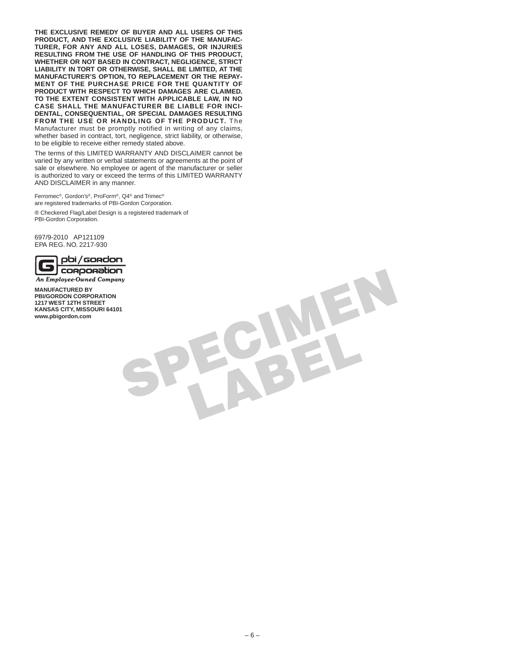**THE EXCLUSIVE REMEDY OF BUYER AND ALL USERS OF THIS PRODUCT, AND THE EXCLUSIVE LIABILITY OF THE MANUFAC-TURER, FOR ANY AND ALL LOSES, DAMAGES, OR INJURIES RESULTING FROM THE USE OF HANDLING OF THIS PRODUCT, WHETHER OR NOT BASED IN CONTRACT, NEGLIGENCE, STRICT LIABILITY IN TORT OR OTHERWISE, SHALL BE LIMITED, AT THE MANUFACTURER'S OPTION, TO REPLACEMENT OR THE REPAY-MENT OF THE PURCHASE PRICE FOR THE QUANTITY OF PRODUCT WITH RESPECT TO WHICH DAMAGES ARE CLAIMED. TO THE EXTENT CONSISTENT WITH APPLICABLE LAW, IN NO CASE SHALL THE MANUFACTURER BE LIABLE FOR INCI-DENTAL, CONSEQUENTIAL, OR SPECIAL DAMAGES RESULTING FROM THE USE OR HANDLING OF THE PRODUCT.** The Manufacturer must be promptly notified in writing of any claims, whether based in contract, tort, negligence, strict liability, or otherwise, to be eligible to receive either remedy stated above.

The terms of this LIMITED WARRANTY AND DISCLAIMER cannot be varied by any written or verbal statements or agreements at the point of sale or elsewhere. No employee or agent of the manufacturer or seller is authorized to vary or exceed the terms of this LIMITED WARRANTY AND DISCLAIMER in any manner.

Ferromec®, Gordon's®, ProForm®, Q4® and Trimec® are registered trademarks of PBI-Gordon Corporation.

® Checkered Flag/Label Design is a registered trademark of PBI-Gordon Corporation.

697/9-2010 AP121109 EPA REG. NO. 2217-930



**SPECIORDORATION**<br>
An Employee-Ouned Company<br>
NAMUSACTURED BY<br>
PRICORDON CORPORATION<br>
NAMUSA SCITY: IN STREET<br>
NAMUSA SCITY: INISEGURI 64101<br>
WWW.physodion.com **MANUFACTURED BY PBI/GORDON CORPORATION 1217 WEST 12TH STREET KANSAS CITY, MISSOURI 64101 www.pbigordon.com**

– 6 –